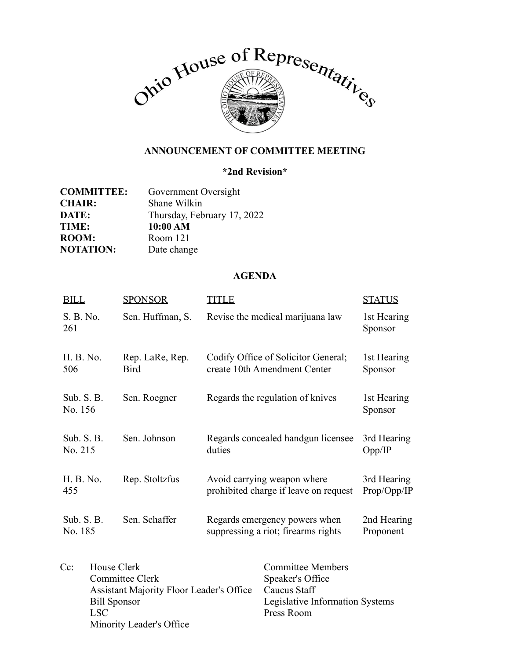

## **ANNOUNCEMENT OF COMMITTEE MEETING**

## **\*2nd Revision\***

| <b>COMMITTEE:</b> | Government Oversight        |  |
|-------------------|-----------------------------|--|
| <b>CHAIR:</b>     | Shane Wilkin                |  |
| <b>DATE:</b>      | Thursday, February 17, 2022 |  |
| <b>TIME:</b>      | 10:00 AM                    |  |
| <b>ROOM:</b>      | Room 121                    |  |
| <b>NOTATION:</b>  | Date change                 |  |

## **AGENDA**

| <b>BILL</b>             | <b>SPONSOR</b>                                                                                                                       | <b>TITLE</b> |                                                                                                               | <b>STATUS</b>              |
|-------------------------|--------------------------------------------------------------------------------------------------------------------------------------|--------------|---------------------------------------------------------------------------------------------------------------|----------------------------|
| S. B. No.<br>261        | Sen. Huffman, S.                                                                                                                     |              | Revise the medical marijuana law                                                                              | 1st Hearing<br>Sponsor     |
| H. B. No.<br>506        | Rep. LaRe, Rep.<br><b>Bird</b>                                                                                                       |              | Codify Office of Solicitor General;<br>create 10th Amendment Center                                           | 1st Hearing<br>Sponsor     |
| Sub. $S. B.$<br>No. 156 | Sen. Roegner                                                                                                                         |              | Regards the regulation of knives                                                                              | 1st Hearing<br>Sponsor     |
| Sub. $S. B.$<br>No. 215 | Sen. Johnson                                                                                                                         | duties       | Regards concealed handgun licensee                                                                            | 3rd Hearing<br>Opp/IP      |
| H. B. No.<br>455        | Rep. Stoltzfus                                                                                                                       |              | Avoid carrying weapon where<br>prohibited charge if leave on request                                          | 3rd Hearing<br>Prop/Opp/IP |
| Sub. S. B.<br>No. 185   | Sen. Schaffer                                                                                                                        |              | Regards emergency powers when<br>suppressing a riot; firearms rights                                          | 2nd Hearing<br>Proponent   |
| $Cc$ :<br><b>LSC</b>    | House Clerk<br>Committee Clerk<br><b>Assistant Majority Floor Leader's Office</b><br><b>Bill Sponsor</b><br>Minority Leader's Office |              | <b>Committee Members</b><br>Speaker's Office<br>Caucus Staff<br>Legislative Information Systems<br>Press Room |                            |